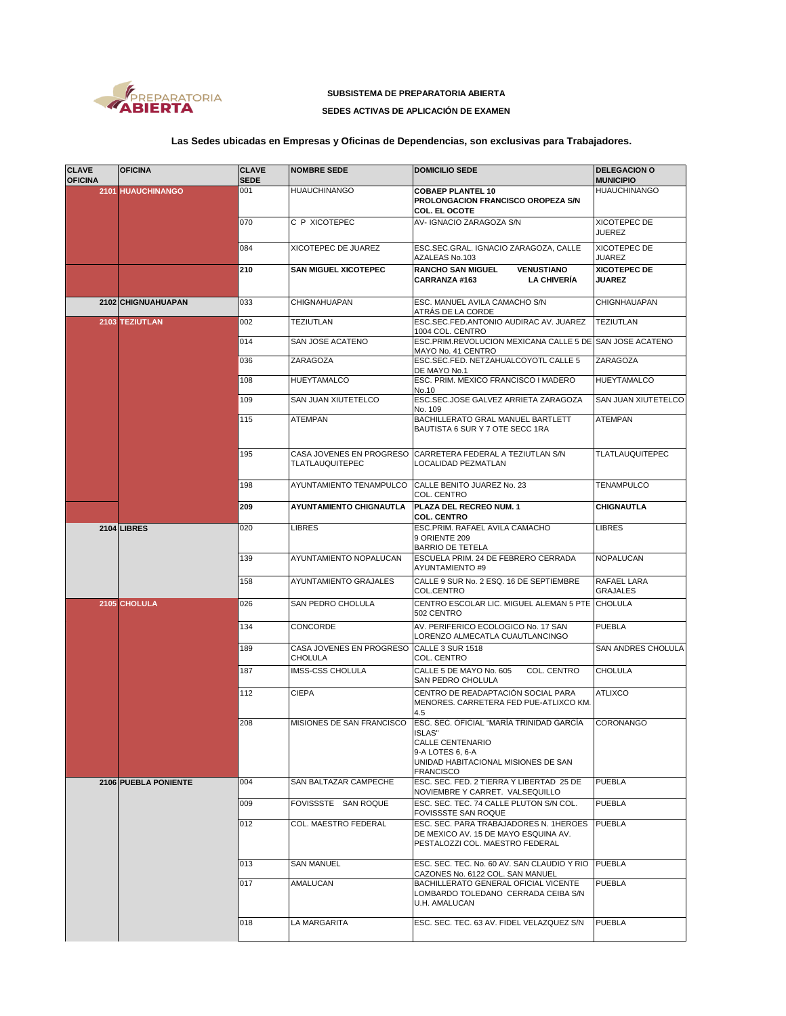

## **SUBSISTEMA DE PREPARATORIA ABIERTA**

## **SEDES ACTIVAS DE APLICACIÓN DE EXAMEN**

## **Las Sedes ubicadas en Empresas y Oficinas de Dependencias, son exclusivas para Trabajadores.**

| <b>CLAVE</b><br><b>OFICINA</b> | <b>OFICINA</b>       | <b>CLAVE</b><br><b>SEDE</b> | <b>NOMBRE SEDE</b>                                          | <b>DOMICILIO SEDE</b>                                                                                                                                        | <b>DELEGACION O</b><br><b>MUNICIPIO</b> |
|--------------------------------|----------------------|-----------------------------|-------------------------------------------------------------|--------------------------------------------------------------------------------------------------------------------------------------------------------------|-----------------------------------------|
|                                | 2101 HUAUCHINANGO    | 001                         | <b>HUAUCHINANGO</b>                                         | <b>COBAEP PLANTEL 10</b><br>PROLONGACION FRANCISCO OROPEZA S/N<br><b>COL. EL OCOTE</b>                                                                       | <b>HUAUCHINANGO</b>                     |
|                                |                      | 070                         | C P XICOTEPEC                                               | AV-IGNACIO ZARAGOZA S/N                                                                                                                                      | XICOTEPEC DE<br><b>JUEREZ</b>           |
|                                |                      | 084                         | XICOTEPEC DE JUAREZ                                         | ESC.SEC.GRAL. IGNACIO ZARAGOZA, CALLE<br>AZALEAS No.103                                                                                                      | XICOTEPEC DE<br><b>JUAREZ</b>           |
|                                |                      | 210                         | <b>SAN MIGUEL XICOTEPEC</b>                                 | <b>RANCHO SAN MIGUEL</b><br><b>VENUSTIANO</b><br><b>LA CHIVERÍA</b><br>CARRANZA #163                                                                         | <b>XICOTEPEC DE</b><br><b>JUAREZ</b>    |
|                                | 2102 CHIGNUAHUAPAN   | 033                         | CHIGNAHUAPAN                                                | ESC. MANUEL AVILA CAMACHO S/N<br>ATRÁS DE LA CORDE                                                                                                           | <b>CHIGNHAUAPAN</b>                     |
|                                | 2103 TEZIUTLAN       | 002                         | <b>TEZIUTLAN</b>                                            | ESC.SEC.FED.ANTONIO AUDIRAC AV. JUAREZ<br>1004 COL. CENTRO                                                                                                   | <b>TEZIUTLAN</b>                        |
|                                |                      | 014                         | SAN JOSE ACATENO                                            | ESC.PRIM.REVOLUCION MEXICANA CALLE 5 DE SAN JOSE ACATENO<br>MAYO No. 41 CENTRO                                                                               |                                         |
|                                |                      | 036                         | ZARAGOZA                                                    | ESC.SEC.FED. NETZAHUALCOYOTL CALLE 5<br>DE MAYO No.1                                                                                                         | ZARAGOZA                                |
|                                |                      | 108                         | <b>HUEYTAMALCO</b>                                          | ESC. PRIM. MEXICO FRANCISCO I MADERO<br>No.10                                                                                                                | <b>HUEYTAMALCO</b>                      |
|                                |                      | 109                         | SAN JUAN XIUTETELCO                                         | ESC.SEC.JOSE GALVEZ ARRIETA ZARAGOZA<br>No. 109                                                                                                              | SAN JUAN XIUTETELCO                     |
|                                |                      | 115                         | <b>ATEMPAN</b>                                              | BACHILLERATO GRAL MANUEL BARTLETT<br>BAUTISTA 6 SUR Y 7 OTE SECC 1RA                                                                                         | <b>ATEMPAN</b>                          |
|                                |                      | 195                         | TLATLAUQUITEPEC                                             | CASA JOVENES EN PROGRESO CARRETERA FEDERAL A TEZIUTLAN S/N<br>LOCALIDAD PEZMATLAN                                                                            | <b>TLATLAUQUITEPEC</b>                  |
|                                |                      | 198                         | AYUNTAMIENTO TENAMPULCO                                     | CALLE BENITO JUAREZ No. 23<br>COL. CENTRO                                                                                                                    | <b>TENAMPULCO</b>                       |
|                                |                      | 209                         | <b>AYUNTAMIENTO CHIGNAUTLA</b>                              | PLAZA DEL RECREO NUM. 1<br><b>COL. CENTRO</b>                                                                                                                | CHIGNAUTLA                              |
|                                | 2104 LIBRES          | 020                         | <b>LIBRES</b>                                               | ESC.PRIM. RAFAEL AVILA CAMACHO<br>9 ORIENTE 209<br><b>BARRIO DE TETELA</b>                                                                                   | <b>LIBRES</b>                           |
|                                |                      | 139                         | AYUNTAMIENTO NOPALUCAN                                      | ESCUELA PRIM. 24 DE FEBRERO CERRADA<br>AYUNTAMIENTO #9                                                                                                       | NOPALUCAN                               |
|                                |                      | 158                         | AYUNTAMIENTO GRAJALES                                       | CALLE 9 SUR No. 2 ESQ. 16 DE SEPTIEMBRE<br>COL.CENTRO                                                                                                        | RAFAEL LARA<br><b>GRAJALES</b>          |
|                                | 2105 CHOLULA         | 026                         | SAN PEDRO CHOLULA                                           | CENTRO ESCOLAR LIC. MIGUEL ALEMAN 5 PTE CHOLULA<br>502 CENTRO                                                                                                |                                         |
|                                |                      | 134                         | CONCORDE                                                    | AV. PERIFERICO ECOLOGICO No. 17 SAN<br>LORENZO ALMECATLA CUAUTLANCINGO                                                                                       | <b>PUEBLA</b>                           |
|                                |                      | 189                         | CASA JOVENES EN PROGRESO CALLE 3 SUR 1518<br><b>CHOLULA</b> | COL. CENTRO                                                                                                                                                  | SAN ANDRES CHOLULA                      |
|                                |                      | 187                         | <b>IMSS-CSS CHOLULA</b>                                     | CALLE 5 DE MAYO No. 605<br>COL. CENTRO<br>SAN PEDRO CHOLULA                                                                                                  | <b>CHOLULA</b>                          |
|                                |                      | 112                         | <b>CIEPA</b>                                                | CENTRO DE READAPTACIÓN SOCIAL PARA<br>MENORES. CARRETERA FED PUE-ATLIXCO KM.<br>4.5                                                                          | <b>ATLIXCO</b>                          |
|                                |                      | 208                         | MISIONES DE SAN FRANCISCO                                   | ESC. SEC. OFICIAL "MARÍA TRINIDAD GARCÍA<br><b>ISLAS"</b><br>CALLE CENTENARIO<br>9-A LOTES 6, 6-A<br>UNIDAD HABITACIONAL MISIONES DE SAN<br><b>FRANCISCO</b> | <b>CORONANGO</b>                        |
|                                | 2106 PUEBLA PONIENTE | 004                         | SAN BALTAZAR CAMPECHE                                       | ESC. SEC. FED. 2 TIERRA Y LIBERTAD 25 DE<br>NOVIEMBRE Y CARRET. VALSEQUILLO                                                                                  | <b>PUEBLA</b>                           |
|                                |                      | 009                         | FOVISSSTE SAN ROQUE                                         | ESC. SEC. TEC. 74 CALLE PLUTON S/N COL.<br>FOVISSSTE SAN ROQUE                                                                                               | <b>PUEBLA</b>                           |
|                                |                      | 012                         | COL. MAESTRO FEDERAL                                        | ESC. SEC. PARA TRABAJADORES N. 1HEROES<br>DE MEXICO AV. 15 DE MAYO ESQUINA AV.<br>PESTALOZZI COL. MAESTRO FEDERAL                                            | <b>PUEBLA</b>                           |
|                                |                      | 013                         | <b>SAN MANUEL</b>                                           | ESC. SEC. TEC. No. 60 AV. SAN CLAUDIO Y RIO PUEBLA<br>CAZONES No. 6122 COL. SAN MANUEL                                                                       |                                         |
|                                |                      | 017                         | AMALUCAN                                                    | BACHILLERATO GENERAL OFICIAL VICENTE<br>LOMBARDO TOLEDANO CERRADA CEIBA S/N<br>U.H. AMALUCAN                                                                 | <b>PUEBLA</b>                           |
|                                |                      | 018                         | LA MARGARITA                                                | ESC. SEC. TEC. 63 AV. FIDEL VELAZQUEZ S/N                                                                                                                    | <b>PUEBLA</b>                           |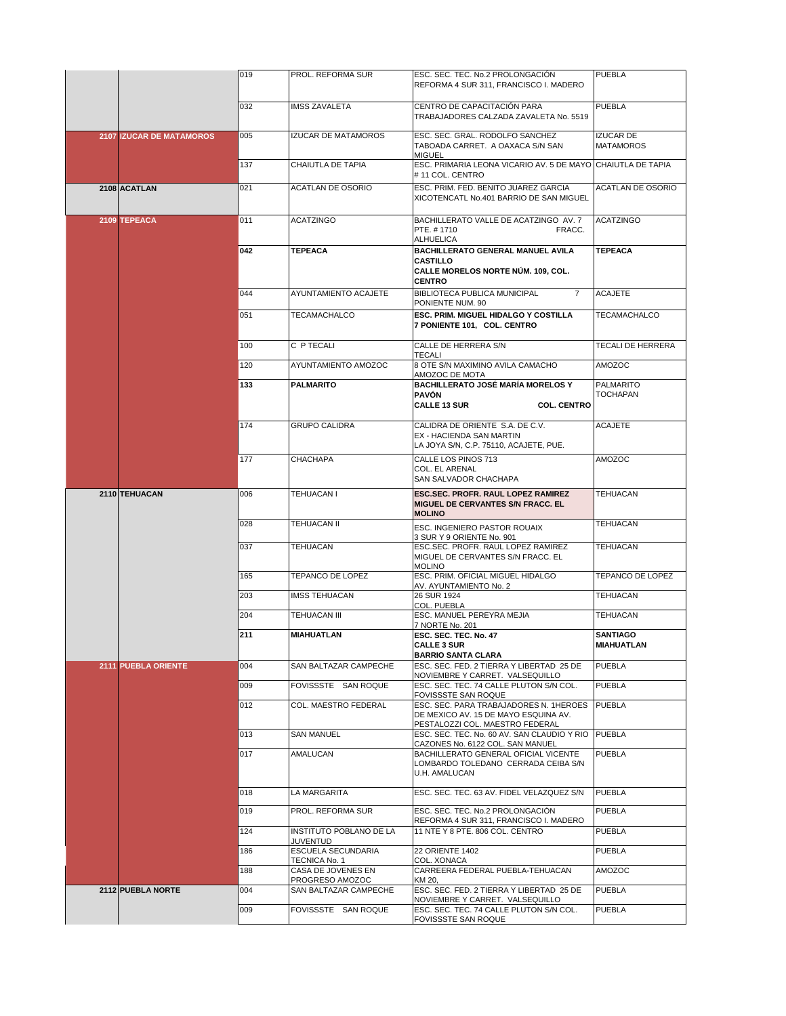|                                 | 019 | PROL. REFORMA SUR                          | ESC. SEC. TEC. No.2 PROLONGACIÓN<br>REFORMA 4 SUR 311, FRANCISCO I. MADERO                                        | <b>PUEBLA</b>                        |
|---------------------------------|-----|--------------------------------------------|-------------------------------------------------------------------------------------------------------------------|--------------------------------------|
|                                 |     |                                            |                                                                                                                   |                                      |
|                                 | 032 | <b>IMSS ZAVALETA</b>                       | CENTRO DE CAPACITACIÓN PARA<br>TRABAJADORES CALZADA ZAVALETA No. 5519                                             | PUEBLA                               |
| <b>2107 IZUCAR DE MATAMOROS</b> | 005 | <b>IZUCAR DE MATAMOROS</b>                 | ESC. SEC. GRAL. RODOLFO SANCHEZ<br>TABOADA CARRET. A OAXACA S/N SAN<br><b>MIGUEL</b>                              | <b>IZUCAR DE</b><br><b>MATAMOROS</b> |
|                                 | 137 | CHAIUTLA DE TAPIA                          | ESC. PRIMARIA LEONA VICARIO AV. 5 DE MAYO CHAIUTLA DE TAPIA<br>#11 COL. CENTRO                                    |                                      |
| 2108 ACATLAN                    | 021 | <b>ACATLAN DE OSORIO</b>                   | ESC. PRIM. FED. BENITO JUAREZ GARCIA<br>XICOTENCATL No.401 BARRIO DE SAN MIGUEL                                   | <b>ACATLAN DE OSORIO</b>             |
| 2109 TEPEACA                    | 011 | <b>ACATZINGO</b>                           | BACHILLERATO VALLE DE ACATZINGO AV. 7<br>PTE. #1710<br>FRACC.<br><b>ALHUELICA</b>                                 | <b>ACATZINGO</b>                     |
|                                 | 042 | <b>TEPEACA</b>                             | BACHILLERATO GENERAL MANUEL AVILA<br><b>CASTILLO</b><br>CALLE MORELOS NORTE NÚM. 109, COL.<br><b>CENTRO</b>       | <b>TEPEACA</b>                       |
|                                 | 044 | AYUNTAMIENTO ACAJETE                       | BIBLIOTECA PUBLICA MUNICIPAL<br>$\overline{7}$<br>PONIENTE NUM. 90                                                | <b>ACAJETE</b>                       |
|                                 | 051 | TECAMACHALCO                               | ESC. PRIM. MIGUEL HIDALGO Y COSTILLA<br>7 PONIENTE 101, COL. CENTRO                                               | TECAMACHALCO                         |
|                                 | 100 | C P TECALI                                 | CALLE DE HERRERA S/N<br><b>TECALI</b>                                                                             | <b>TECALI DE HERRERA</b>             |
|                                 | 120 | AYUNTAMIENTO AMOZOC                        | 8 OTE S/N MAXIMINO AVILA CAMACHO<br>AMOZOC DE MOTA                                                                | AMOZOC                               |
|                                 | 133 | <b>PALMARITO</b>                           | <b>BACHILLERATO JOSÉ MARÍA MORELOS Y</b><br><b>PAVÓN</b><br><b>CALLE 13 SUR</b><br><b>COL. CENTRO</b>             | <b>PALMARITO</b><br><b>TOCHAPAN</b>  |
|                                 | 174 | <b>GRUPO CALIDRA</b>                       | CALIDRA DE ORIENTE S.A. DE C.V.<br>EX - HACIENDA SAN MARTIN<br>LA JOYA S/N, C.P. 75110, ACAJETE, PUE.             | <b>ACAJETE</b>                       |
|                                 | 177 | CHACHAPA                                   | CALLE LOS PINOS 713<br>COL. EL ARENAL<br>SAN SALVADOR CHACHAPA                                                    | AMOZOC                               |
| 2110 TEHUACAN                   | 006 | TEHUACAN I                                 | ESC.SEC. PROFR. RAUL LOPEZ RAMIREZ<br>MIGUEL DE CERVANTES S/N FRACC. EL<br><b>MOLINO</b>                          | <b>TEHUACAN</b>                      |
|                                 | 028 | <b>TEHUACAN II</b>                         | ESC. INGENIERO PASTOR ROUAIX<br>3 SUR Y 9 ORIENTE No. 901                                                         | <b>TEHUACAN</b>                      |
|                                 | 037 | TEHUACAN                                   | ESC.SEC. PROFR. RAUL LOPEZ RAMIREZ<br>MIGUEL DE CERVANTES S/N FRACC. EL<br><b>MOLINO</b>                          | <b>TEHUACAN</b>                      |
|                                 | 165 | TEPANCO DE LOPEZ                           | ESC. PRIM. OFICIAL MIGUEL HIDALGO<br>AV. AYUNTAMIENTO No. 2                                                       | TEPANCO DE LOPEZ                     |
|                                 | 203 | <b>IMSS TEHUACAN</b>                       | 26 SUR 1924<br>COL. PUEBLA                                                                                        | <b>TEHUACAN</b>                      |
|                                 | 204 | TEHUACAN III                               | ESC. MANUEL PEREYRA MEJIA<br>7 NORTE No. 201                                                                      | <b>TEHUACAN</b>                      |
|                                 | 211 | <b>MIAHUATLAN</b>                          | ESC. SEC. TEC. No. 47<br>CALLE 3 SUR<br><b>BARRIO SANTA CLARA</b>                                                 | <b>SANTIAGO</b><br>MIAHUATLAN        |
| <b>2111 PUEBLA ORIENTE</b>      | 004 | SAN BALTAZAR CAMPECHE                      | ESC. SEC. FED. 2 TIERRA Y LIBERTAD 25 DE<br>NOVIEMBRE Y CARRET. VALSEQUILLO                                       | <b>PUEBLA</b>                        |
|                                 | 009 | FOVISSSTE SAN ROQUE                        | ESC. SEC. TEC. 74 CALLE PLUTON S/N COL.<br>FOVISSSTE SAN ROQUE                                                    | <b>PUEBLA</b>                        |
|                                 | 012 | COL. MAESTRO FEDERAL                       | ESC. SEC. PARA TRABAJADORES N. 1HEROES<br>DE MEXICO AV. 15 DE MAYO ESQUINA AV.<br>PESTALOZZI COL. MAESTRO FEDERAL | <b>PUEBLA</b>                        |
|                                 | 013 | <b>SAN MANUEL</b>                          | ESC. SEC. TEC. No. 60 AV. SAN CLAUDIO Y RIO<br>CAZONES No. 6122 COL. SAN MANUEL                                   | <b>PUEBLA</b>                        |
|                                 | 017 | AMALUCAN                                   | BACHILLERATO GENERAL OFICIAL VICENTE<br>LOMBARDO TOLEDANO CERRADA CEIBA S/N<br>U.H. AMALUCAN                      | PUEBLA                               |
|                                 | 018 | <b>LA MARGARITA</b>                        | ESC. SEC. TEC. 63 AV. FIDEL VELAZQUEZ S/N                                                                         | <b>PUEBLA</b>                        |
|                                 | 019 | PROL. REFORMA SUR                          | ESC. SEC. TEC. No.2 PROLONGACIÓN<br>REFORMA 4 SUR 311, FRANCISCO I. MADERO                                        | <b>PUEBLA</b>                        |
|                                 | 124 | <b>INSTITUTO POBLANO DE LA</b><br>JUVENTUD | 11 NTE Y 8 PTE. 806 COL. CENTRO                                                                                   | <b>PUEBLA</b>                        |
|                                 | 186 | ESCUELA SECUNDARIA<br>TECNICA No. 1        | <b>22 ORIENTE 1402</b><br>COL. XONACA                                                                             | <b>PUEBLA</b>                        |
|                                 | 188 | CASA DE JOVENES EN<br>PROGRESO AMOZOC      | CARREERA FEDERAL PUEBLA-TEHUACAN<br>KM 20,                                                                        | AMOZOC                               |
| 2112 PUEBLA NORTE               | 004 | SAN BALTAZAR CAMPECHE                      | ESC. SEC. FED. 2 TIERRA Y LIBERTAD 25 DE<br>NOVIEMBRE Y CARRET. VALSEQUILLO                                       | <b>PUEBLA</b>                        |
|                                 | 009 | FOVISSSTE SAN ROQUE                        | ESC. SEC. TEC. 74 CALLE PLUTON S/N COL.<br>FOVISSSTE SAN ROQUE                                                    | <b>PUEBLA</b>                        |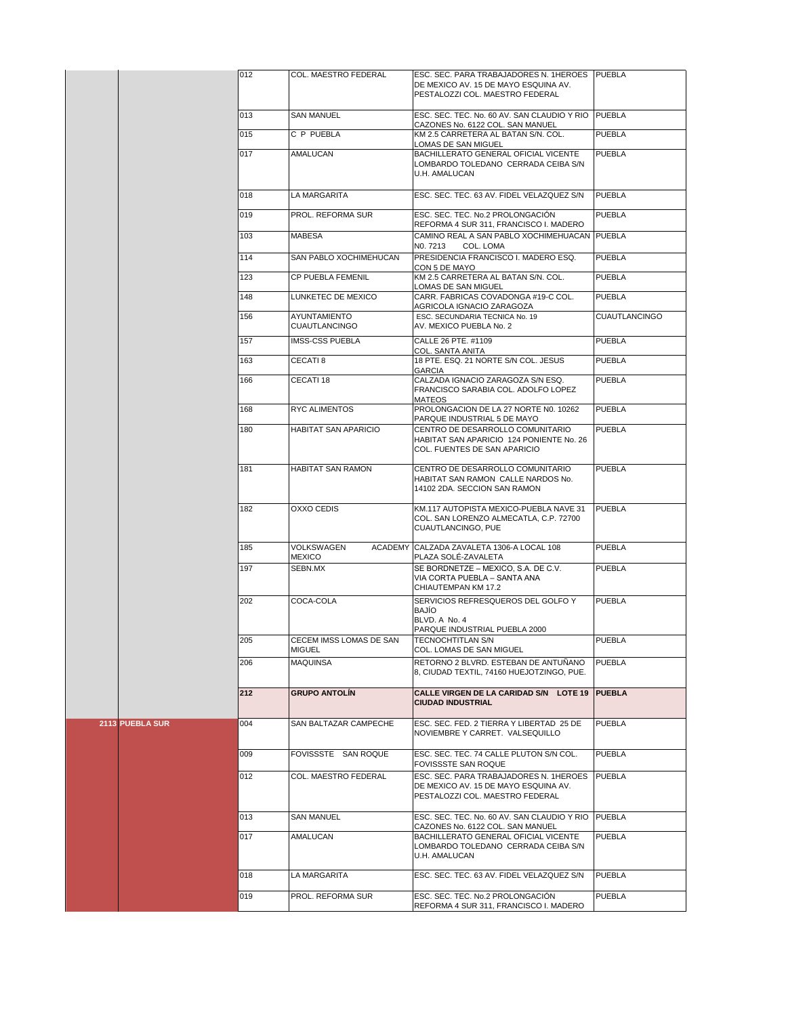|                 | 012 | COL. MAESTRO FEDERAL                     | ESC. SEC. PARA TRABAJADORES N. 1HEROES PUEBLA<br>DE MEXICO AV. 15 DE MAYO ESQUINA AV.<br>PESTALOZZI COL. MAESTRO FEDERAL |                      |
|-----------------|-----|------------------------------------------|--------------------------------------------------------------------------------------------------------------------------|----------------------|
|                 | 013 | <b>SAN MANUEL</b>                        | ESC. SEC. TEC. No. 60 AV. SAN CLAUDIO Y RIO PUEBLA                                                                       |                      |
|                 | 015 | C P PUEBLA                               | CAZONES No. 6122 COL. SAN MANUEL<br>KM 2.5 CARRETERA AL BATAN S/N. COL.                                                  | <b>PUEBLA</b>        |
|                 | 017 | <b>AMALUCAN</b>                          | LOMAS DE SAN MIGUEL<br>BACHILLERATO GENERAL OFICIAL VICENTE<br>LOMBARDO TOLEDANO CERRADA CEIBA S/N<br>U.H. AMALUCAN      | <b>PUEBLA</b>        |
|                 | 018 | LA MARGARITA                             | ESC. SEC. TEC. 63 AV. FIDEL VELAZQUEZ S/N                                                                                | <b>PUEBLA</b>        |
|                 | 019 | PROL. REFORMA SUR                        | ESC. SEC. TEC. No.2 PROLONGACIÓN<br>REFORMA 4 SUR 311, FRANCISCO I. MADERO                                               | <b>PUEBLA</b>        |
|                 | 103 | <b>MABESA</b>                            | CAMINO REAL A SAN PABLO XOCHIMEHUACAN PUEBLA<br>NO. 7213<br>COL. LOMA                                                    |                      |
|                 | 114 | SAN PABLO XOCHIMEHUCAN                   | PRESIDENCIA FRANCISCO I. MADERO ESQ.<br>CON 5 DE MAYO                                                                    | <b>PUEBLA</b>        |
|                 | 123 | <b>CP PUEBLA FEMENIL</b>                 | KM 2.5 CARRETERA AL BATAN S/N. COL.<br>LOMAS DE SAN MIGUEL                                                               | <b>PUEBLA</b>        |
|                 | 148 | LUNKETEC DE MEXICO                       | CARR. FABRICAS COVADONGA #19-C COL.<br>AGRICOLA IGNACIO ZARAGOZA                                                         | <b>PUEBLA</b>        |
|                 | 156 | AYUNTAMIENTO<br><b>CUAUTLANCINGO</b>     | ESC. SECUNDARIA TECNICA No. 19<br>AV. MEXICO PUEBLA No. 2                                                                | <b>CUAUTLANCINGO</b> |
|                 | 157 | <b>IMSS-CSS PUEBLA</b>                   | CALLE 26 PTE. #1109<br>COL. SANTA ANITA                                                                                  | <b>PUEBLA</b>        |
|                 | 163 | CECATI <sub>8</sub>                      | 18 PTE. ESQ. 21 NORTE S/N COL. JESUS<br><b>GARCIA</b>                                                                    | <b>PUEBLA</b>        |
|                 | 166 | CECATI 18                                | CALZADA IGNACIO ZARAGOZA S/N ESQ.<br>FRANCISCO SARABIA COL. ADOLFO LOPEZ<br>MATEOS                                       | <b>PUEBLA</b>        |
|                 | 168 | RYC ALIMENTOS                            | PROLONGACION DE LA 27 NORTE N0. 10262<br>PARQUE INDUSTRIAL 5 DE MAYO                                                     | <b>PUEBLA</b>        |
|                 | 180 | HABITAT SAN APARICIO                     | CENTRO DE DESARROLLO COMUNITARIO<br>HABITAT SAN APARICIO 124 PONIENTE No. 26<br>COL. FUENTES DE SAN APARICIO             | PUEBLA               |
|                 | 181 | <b>HABITAT SAN RAMON</b>                 | CENTRO DE DESARROLLO COMUNITARIO<br>HABITAT SAN RAMON CALLE NARDOS No.<br>14102 2DA. SECCION SAN RAMON                   | <b>PUEBLA</b>        |
|                 | 182 | OXXO CEDIS                               | KM.117 AUTOPISTA MEXICO-PUEBLA NAVE 31<br>COL. SAN LORENZO ALMECATLA, C.P. 72700<br>CUAUTLANCINGO, PUE                   | <b>PUEBLA</b>        |
|                 | 185 | <b>VOLKSWAGEN</b><br><b>MEXICO</b>       | ACADEMY CALZADA ZAVALETA 1306-A LOCAL 108<br>PLAZA SOLÉ-ZAVALETA                                                         | <b>PUEBLA</b>        |
|                 | 197 | SEBN.MX                                  | SE BORDNETZE - MEXICO, S.A. DE C.V.<br>VIA CORTA PUEBLA - SANTA ANA<br>CHIAUTEMPAN KM 17.2                               | <b>PUEBLA</b>        |
|                 | 202 | COCA-COLA                                | SERVICIOS REFRESQUEROS DEL GOLFO Y<br><b>BAJÍO</b><br>BLVD. A No. 4<br>PARQUE INDUSTRIAL PUEBLA 2000                     | <b>PUEBLA</b>        |
|                 | 205 | CECEM IMSS LOMAS DE SAN<br><b>MIGUEL</b> | TECNOCHTITLAN S/N<br>COL. LOMAS DE SAN MIGUEL                                                                            | <b>PUEBLA</b>        |
|                 | 206 | <b>MAQUINSA</b>                          | RETORNO 2 BLVRD. ESTEBAN DE ANTUÑANO<br>8, CIUDAD TEXTIL, 74160 HUEJOTZINGO, PUE.                                        | <b>PUEBLA</b>        |
|                 | 212 | <b>GRUPO ANTOLÍN</b>                     | CALLE VIRGEN DE LA CARIDAD S/N LOTE 19 PUEBLA<br><b>CIUDAD INDUSTRIAL</b>                                                |                      |
| 2113 PUEBLA SUR | 004 | SAN BALTAZAR CAMPECHE                    | ESC. SEC. FED. 2 TIERRA Y LIBERTAD 25 DE<br>NOVIEMBRE Y CARRET. VALSEQUILLO                                              | <b>PUEBLA</b>        |
|                 | 009 | FOVISSSTE SAN ROQUE                      | ESC. SEC. TEC. 74 CALLE PLUTON S/N COL.<br><b>FOVISSSTE SAN ROQUE</b>                                                    | <b>PUEBLA</b>        |
|                 | 012 | COL. MAESTRO FEDERAL                     | ESC. SEC. PARA TRABAJADORES N. 1HEROES<br>DE MEXICO AV. 15 DE MAYO ESQUINA AV.<br>PESTALOZZI COL. MAESTRO FEDERAL        | <b>PUEBLA</b>        |
|                 | 013 | <b>SAN MANUEL</b>                        | ESC. SEC. TEC. No. 60 AV. SAN CLAUDIO Y RIO PUEBLA<br>CAZONES No. 6122 COL. SAN MANUEL                                   |                      |
|                 | 017 | AMALUCAN                                 | BACHILLERATO GENERAL OFICIAL VICENTE<br>LOMBARDO TOLEDANO CERRADA CEIBA S/N<br>U.H. AMALUCAN                             | <b>PUEBLA</b>        |
|                 | 018 | LA MARGARITA                             | ESC. SEC. TEC. 63 AV. FIDEL VELAZQUEZ S/N                                                                                | <b>PUEBLA</b>        |
|                 | 019 | PROL. REFORMA SUR                        | ESC. SEC. TEC. No.2 PROLONGACIÓN<br>REFORMA 4 SUR 311, FRANCISCO I. MADERO                                               | <b>PUEBLA</b>        |